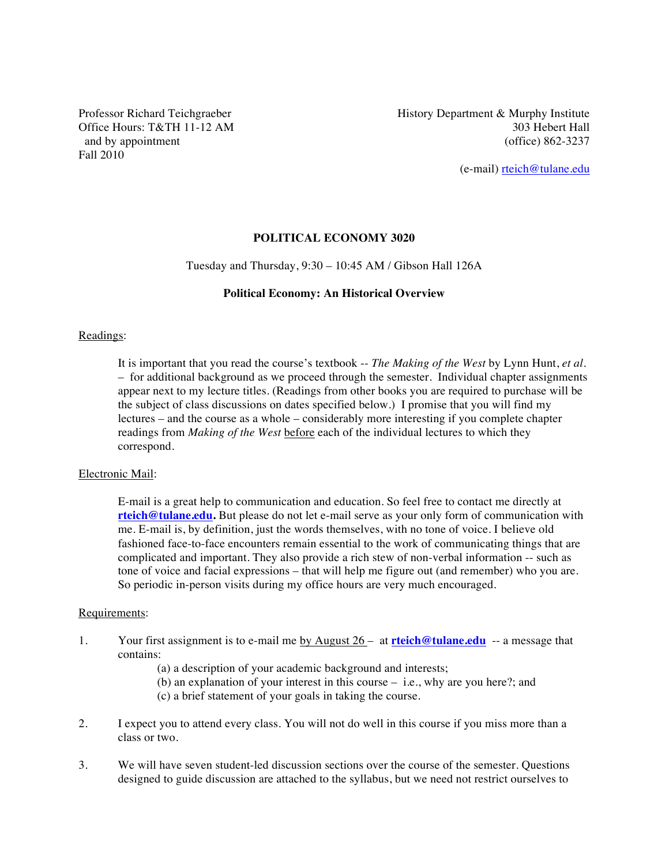Office Hours: T&TH 11-12 AM Fall 2010

Professor Richard Teichgraeber History Department & Murphy Institute<br>Office Hours: T&TH 11-12 AM 303 Hebert Hall and by appointment (office) 862-3237

(e-mail) rteich@tulane.edu

#### **POLITICAL ECONOMY 3020**

#### Tuesday and Thursday, 9:30 – 10:45 AM / Gibson Hall 126A

#### **Political Economy: An Historical Overview**

#### Readings:

It is important that you read the course's textbook -- *The Making of the West* by Lynn Hunt, *et al.*  – for additional background as we proceed through the semester. Individual chapter assignments appear next to my lecture titles. (Readings from other books you are required to purchase will be the subject of class discussions on dates specified below.) I promise that you will find my lectures – and the course as a whole – considerably more interesting if you complete chapter readings from *Making of the West* before each of the individual lectures to which they correspond.

#### Electronic Mail:

E-mail is a great help to communication and education. So feel free to contact me directly at **rteich@tulane.edu.** But please do not let e-mail serve as your only form of communication with me. E-mail is, by definition, just the words themselves, with no tone of voice. I believe old fashioned face-to-face encounters remain essential to the work of communicating things that are complicated and important. They also provide a rich stew of non-verbal information -- such as tone of voice and facial expressions – that will help me figure out (and remember) who you are. So periodic in-person visits during my office hours are very much encouraged.

#### Requirements:

- 1. Your first assignment is to e-mail me by August 26 at **rteich@tulane.edu** -- a message that contains:
	- (a) a description of your academic background and interests;
	- (b) an explanation of your interest in this course i.e., why are you here?; and
	- (c) a brief statement of your goals in taking the course.
- 2. I expect you to attend every class. You will not do well in this course if you miss more than a class or two.
- 3. We will have seven student-led discussion sections over the course of the semester. Questions designed to guide discussion are attached to the syllabus, but we need not restrict ourselves to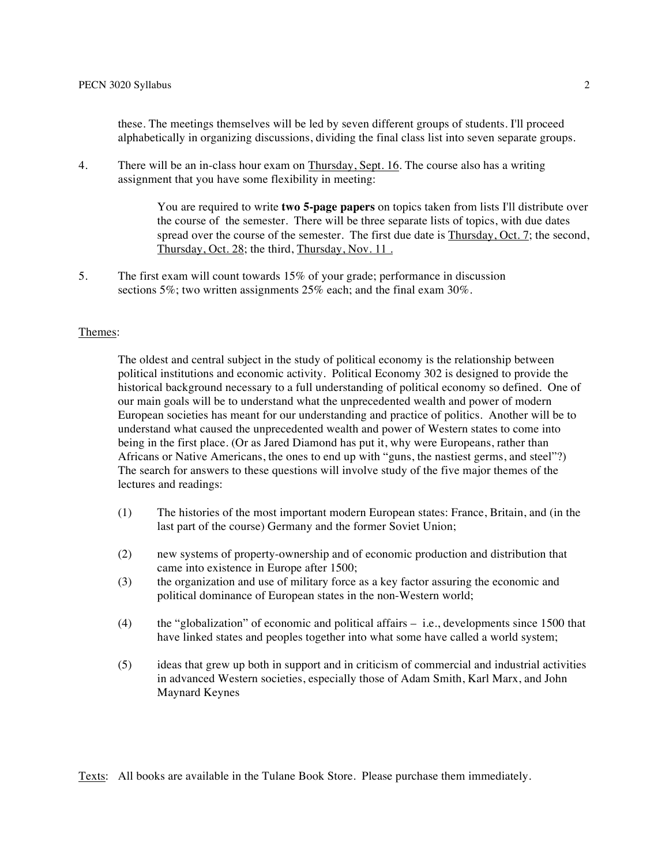these. The meetings themselves will be led by seven different groups of students. I'll proceed alphabetically in organizing discussions, dividing the final class list into seven separate groups.

4. There will be an in-class hour exam on Thursday, Sept. 16. The course also has a writing assignment that you have some flexibility in meeting:

> You are required to write **two 5-page papers** on topics taken from lists I'll distribute over the course of the semester. There will be three separate lists of topics, with due dates spread over the course of the semester. The first due date is **Thursday**, Oct. 7; the second, Thursday, Oct. 28; the third, Thursday, Nov. 11 .

5. The first exam will count towards 15% of your grade; performance in discussion sections 5%; two written assignments 25% each; and the final exam 30%.

#### Themes:

The oldest and central subject in the study of political economy is the relationship between political institutions and economic activity. Political Economy 302 is designed to provide the historical background necessary to a full understanding of political economy so defined. One of our main goals will be to understand what the unprecedented wealth and power of modern European societies has meant for our understanding and practice of politics. Another will be to understand what caused the unprecedented wealth and power of Western states to come into being in the first place. (Or as Jared Diamond has put it, why were Europeans, rather than Africans or Native Americans, the ones to end up with "guns, the nastiest germs, and steel"?) The search for answers to these questions will involve study of the five major themes of the lectures and readings:

- (1) The histories of the most important modern European states: France, Britain, and (in the last part of the course) Germany and the former Soviet Union;
- (2) new systems of property-ownership and of economic production and distribution that came into existence in Europe after 1500;
- (3) the organization and use of military force as a key factor assuring the economic and political dominance of European states in the non-Western world;
- (4) the "globalization" of economic and political affairs i.e., developments since 1500 that have linked states and peoples together into what some have called a world system;
- (5) ideas that grew up both in support and in criticism of commercial and industrial activities in advanced Western societies, especially those of Adam Smith, Karl Marx, and John Maynard Keynes

Texts: All books are available in the Tulane Book Store. Please purchase them immediately.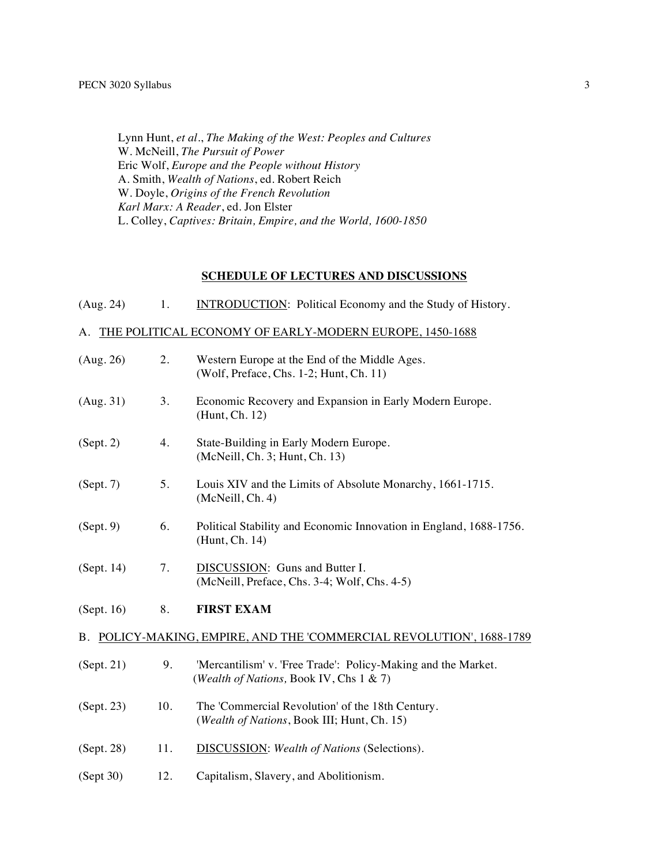Lynn Hunt, *et al.*, *The Making of the West: Peoples and Cultures* W. McNeill, *The Pursuit of Power* Eric Wolf, *Europe and the People without History* A. Smith, *Wealth of Nations*, ed. Robert Reich W. Doyle, *Origins of the French Revolution Karl Marx: A Reader*, ed. Jon Elster L. Colley, *Captives: Britain, Empire, and the World, 1600-1850*

### **SCHEDULE OF LECTURES AND DISCUSSIONS**

| (Aug. 24)                                                            | 1.  | <b>INTRODUCTION:</b> Political Economy and the Study of History.                                         |  |  |
|----------------------------------------------------------------------|-----|----------------------------------------------------------------------------------------------------------|--|--|
|                                                                      |     | A. THE POLITICAL ECONOMY OF EARLY-MODERN EUROPE, 1450-1688                                               |  |  |
| (Aug. 26)                                                            | 2.  | Western Europe at the End of the Middle Ages.<br>(Wolf, Preface, Chs. 1-2; Hunt, Ch. 11)                 |  |  |
| (Aug. 31)                                                            | 3.  | Economic Recovery and Expansion in Early Modern Europe.<br>(Hunt, Ch. 12)                                |  |  |
| (Sept. 2)                                                            | 4.  | State-Building in Early Modern Europe.<br>(McNeill, Ch. 3; Hunt, Ch. 13)                                 |  |  |
| (Sept. 7)                                                            | 5.  | Louis XIV and the Limits of Absolute Monarchy, 1661-1715.<br>(McNeill, Ch. 4)                            |  |  |
| (Sept. 9)                                                            | 6.  | Political Stability and Economic Innovation in England, 1688-1756.<br>(Hunt, Ch. 14)                     |  |  |
| (Sept. 14)                                                           | 7.  | DISCUSSION: Guns and Butter I.<br>(McNeill, Preface, Chs. 3-4; Wolf, Chs. 4-5)                           |  |  |
| (Sept. 16)                                                           | 8.  | <b>FIRST EXAM</b>                                                                                        |  |  |
| B. POLICY-MAKING, EMPIRE, AND THE 'COMMERCIAL REVOLUTION', 1688-1789 |     |                                                                                                          |  |  |
| (Sept. 21)                                                           | 9.  | 'Mercantilism' v. 'Free Trade': Policy-Making and the Market.<br>(Wealth of Nations, Book IV, Chs 1 & 7) |  |  |
| (Sept. 23)                                                           | 10. | The 'Commercial Revolution' of the 18th Century.<br>(Wealth of Nations, Book III; Hunt, Ch. 15)          |  |  |
| (Sept. 28)                                                           | 11. | <b>DISCUSSION:</b> Wealth of Nations (Selections).                                                       |  |  |
| (Sept 30)                                                            | 12. | Capitalism, Slavery, and Abolitionism.                                                                   |  |  |
|                                                                      |     |                                                                                                          |  |  |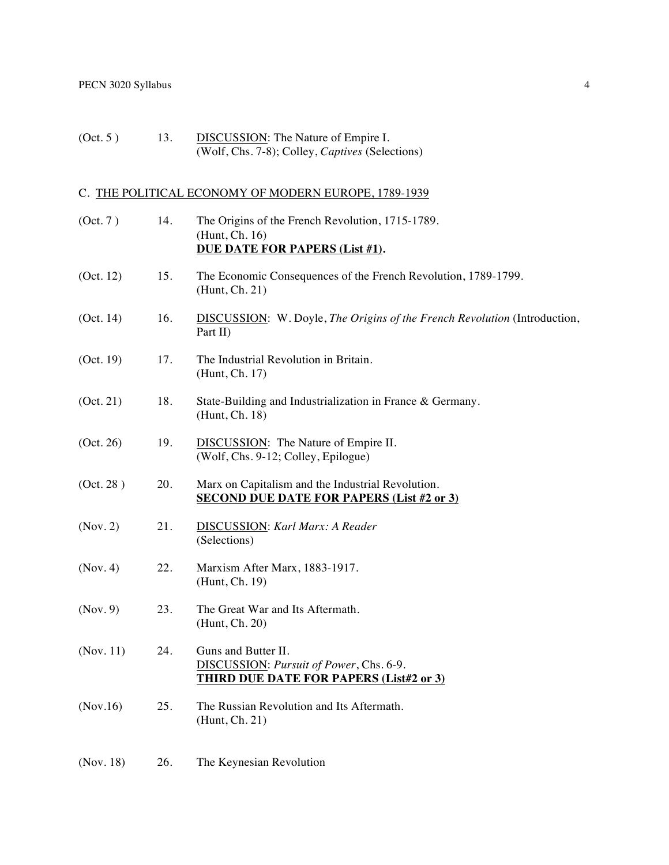(Oct. 5) 13. DISCUSSION: The Nature of Empire I. (Wolf, Chs. 7-8); Colley, *Captives* (Selections)

# C. THE POLITICAL ECONOMY OF MODERN EUROPE, 1789-1939

| (Oct. 7)  | 14. | The Origins of the French Revolution, 1715-1789.<br>(Hunt, Ch. 16)<br>DUE DATE FOR PAPERS (List #1).             |
|-----------|-----|------------------------------------------------------------------------------------------------------------------|
| (Oct. 12) | 15. | The Economic Consequences of the French Revolution, 1789-1799.<br>(Hunt, Ch. 21)                                 |
| (Oct. 14) | 16. | <b>DISCUSSION:</b> W. Doyle, The Origins of the French Revolution (Introduction,<br>Part II)                     |
| (Oct. 19) | 17. | The Industrial Revolution in Britain.<br>(Hunt, Ch. 17)                                                          |
| (Oct. 21) | 18. | State-Building and Industrialization in France & Germany.<br>(Hunt, Ch. 18)                                      |
| (Oct. 26) | 19. | DISCUSSION: The Nature of Empire II.<br>(Wolf, Chs. 9-12; Colley, Epilogue)                                      |
| (Oct. 28) | 20. | Marx on Capitalism and the Industrial Revolution.<br><b>SECOND DUE DATE FOR PAPERS (List #2 or 3)</b>            |
| (Nov. 2)  | 21. | <b>DISCUSSION:</b> Karl Marx: A Reader<br>(Selections)                                                           |
| (Nov. 4)  | 22. | Marxism After Marx, 1883-1917.<br>(Hunt, Ch. 19)                                                                 |
| (Nov. 9)  | 23. | The Great War and Its Aftermath.<br>(Hunt, Ch. 20)                                                               |
| (Nov. 11) | 24. | Guns and Butter II.<br>DISCUSSION: Pursuit of Power, Chs. 6-9.<br><b>THIRD DUE DATE FOR PAPERS (List#2 or 3)</b> |
| (Nov.16)  | 25. | The Russian Revolution and Its Aftermath.<br>(Hunt, Ch. 21)                                                      |
| (Nov. 18) | 26. | The Keynesian Revolution                                                                                         |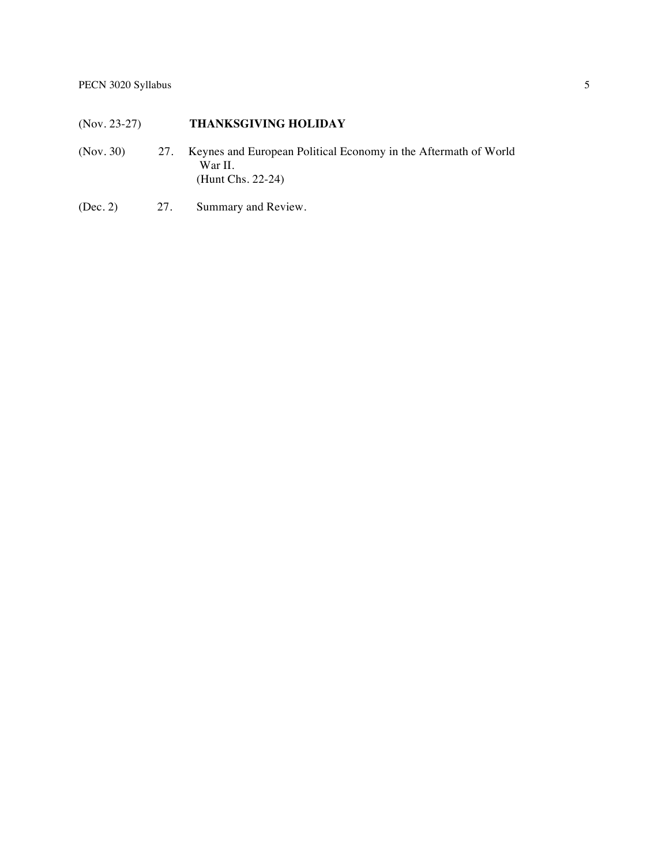# (Nov. 23-27) **THANKSGIVING HOLIDAY**

- (Nov. 30) 27. Keynes and European Political Economy in the Aftermath of World War II. (Hunt Chs. 22-24)
- (Dec. 2) 27. Summary and Review.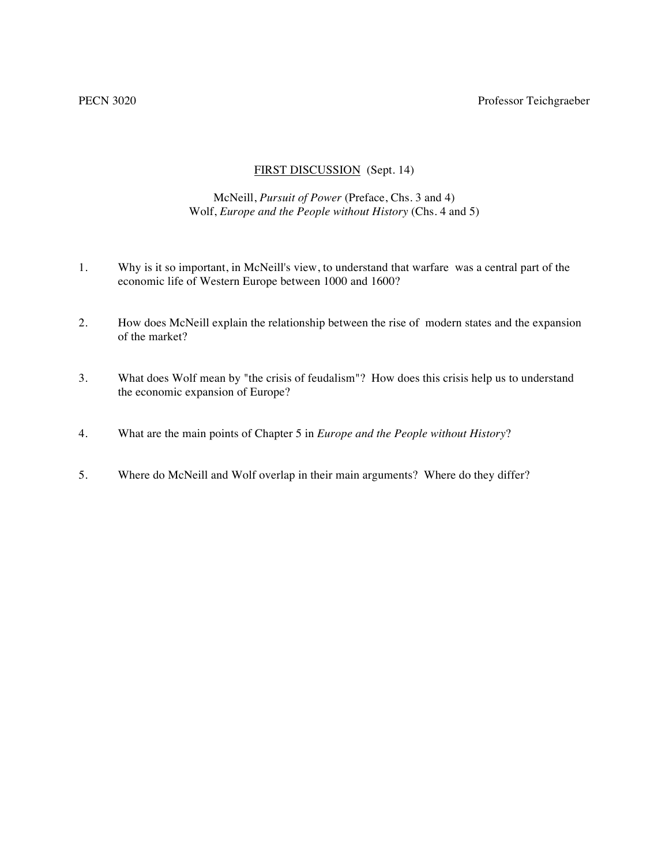### PECN 3020 Professor Teichgraeber

## FIRST DISCUSSION (Sept. 14)

### McNeill, *Pursuit of Power* (Preface, Chs. 3 and 4) Wolf, *Europe and the People without History* (Chs. 4 and 5)

- 1. Why is it so important, in McNeill's view, to understand that warfare was a central part of the economic life of Western Europe between 1000 and 1600?
- 2. How does McNeill explain the relationship between the rise of modern states and the expansion of the market?
- 3. What does Wolf mean by "the crisis of feudalism"? How does this crisis help us to understand the economic expansion of Europe?
- 4. What are the main points of Chapter 5 in *Europe and the People without History*?
- 5. Where do McNeill and Wolf overlap in their main arguments? Where do they differ?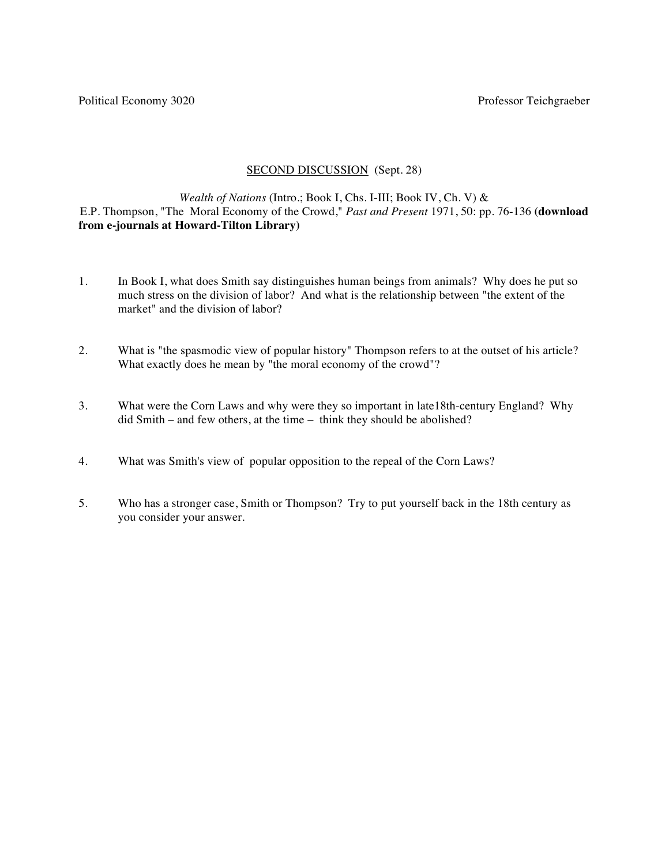Political Economy 3020 **Professor Teichgraeber** Professor Teichgraeber

#### SECOND DISCUSSION (Sept. 28)

# *Wealth of Nations* (Intro.; Book I, Chs. I-III; Book IV, Ch. V) & E.P. Thompson, "The Moral Economy of the Crowd," *Past and Present* 1971, 50: pp. 76-136 **(download from e-journals at Howard-Tilton Library)**

- 1. In Book I, what does Smith say distinguishes human beings from animals? Why does he put so much stress on the division of labor? And what is the relationship between "the extent of the market" and the division of labor?
- 2. What is "the spasmodic view of popular history" Thompson refers to at the outset of his article? What exactly does he mean by "the moral economy of the crowd"?
- 3. What were the Corn Laws and why were they so important in late18th-century England? Why did Smith – and few others, at the time – think they should be abolished?
- 4. What was Smith's view of popular opposition to the repeal of the Corn Laws?
- 5. Who has a stronger case, Smith or Thompson? Try to put yourself back in the 18th century as you consider your answer.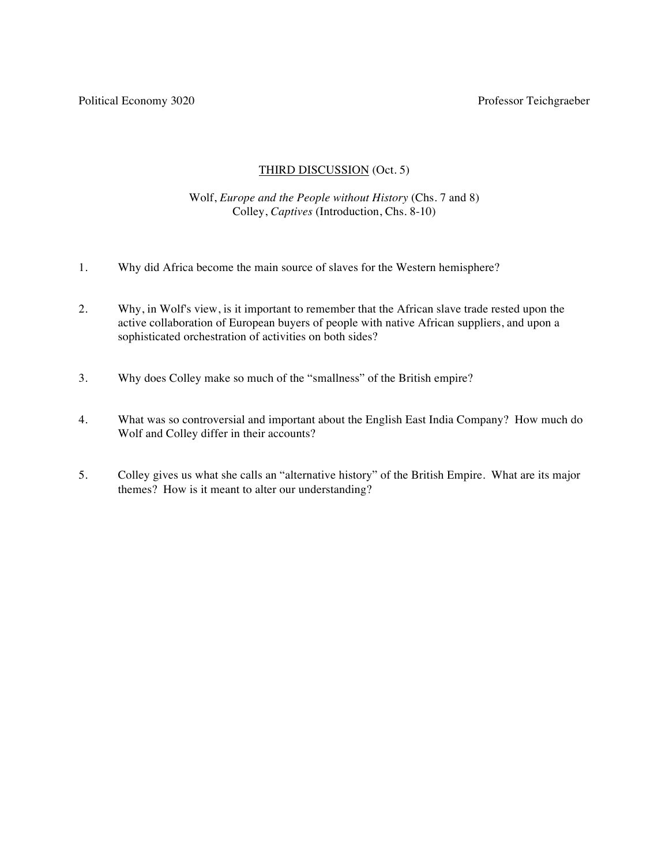# THIRD DISCUSSION (Oct. 5)

# Wolf, *Europe and the People without History* (Chs. 7 and 8) Colley, *Captives* (Introduction, Chs. 8-10)

- 1. Why did Africa become the main source of slaves for the Western hemisphere?
- 2. Why, in Wolf's view, is it important to remember that the African slave trade rested upon the active collaboration of European buyers of people with native African suppliers, and upon a sophisticated orchestration of activities on both sides?
- 3. Why does Colley make so much of the "smallness" of the British empire?
- 4. What was so controversial and important about the English East India Company? How much do Wolf and Colley differ in their accounts?
- 5. Colley gives us what she calls an "alternative history" of the British Empire. What are its major themes? How is it meant to alter our understanding?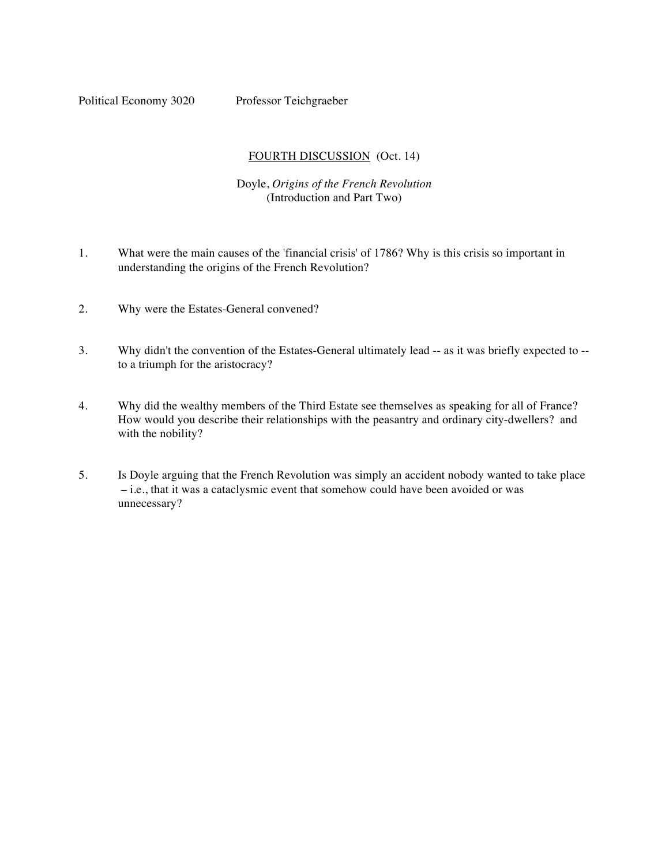Political Economy 3020 Professor Teichgraeber

## FOURTH DISCUSSION (Oct. 14)

## Doyle, *Origins of the French Revolution* (Introduction and Part Two)

- 1. What were the main causes of the 'financial crisis' of 1786? Why is this crisis so important in understanding the origins of the French Revolution?
- 2. Why were the Estates-General convened?
- 3. Why didn't the convention of the Estates-General ultimately lead -- as it was briefly expected to to a triumph for the aristocracy?
- 4. Why did the wealthy members of the Third Estate see themselves as speaking for all of France? How would you describe their relationships with the peasantry and ordinary city-dwellers? and with the nobility?
- 5. Is Doyle arguing that the French Revolution was simply an accident nobody wanted to take place – i.e., that it was a cataclysmic event that somehow could have been avoided or was unnecessary?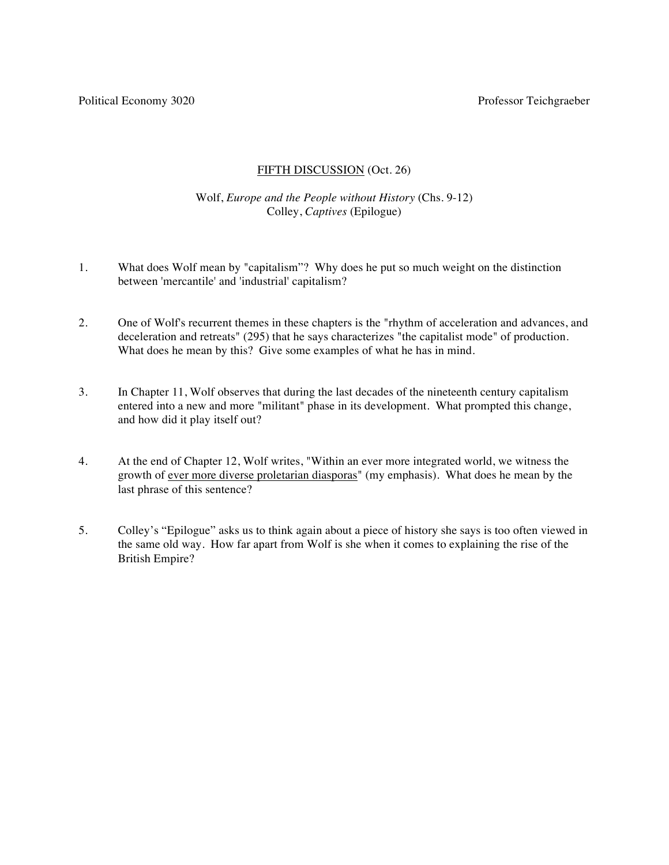# FIFTH DISCUSSION (Oct. 26)

# Wolf, *Europe and the People without History* (Chs. 9-12) Colley, *Captives* (Epilogue)

- 1. What does Wolf mean by "capitalism"? Why does he put so much weight on the distinction between 'mercantile' and 'industrial' capitalism?
- 2. One of Wolf's recurrent themes in these chapters is the "rhythm of acceleration and advances, and deceleration and retreats" (295) that he says characterizes "the capitalist mode" of production. What does he mean by this? Give some examples of what he has in mind.
- 3. In Chapter 11, Wolf observes that during the last decades of the nineteenth century capitalism entered into a new and more "militant" phase in its development. What prompted this change, and how did it play itself out?
- 4. At the end of Chapter 12, Wolf writes, "Within an ever more integrated world, we witness the growth of ever more diverse proletarian diasporas" (my emphasis). What does he mean by the last phrase of this sentence?
- 5. Colley's "Epilogue" asks us to think again about a piece of history she says is too often viewed in the same old way. How far apart from Wolf is she when it comes to explaining the rise of the British Empire?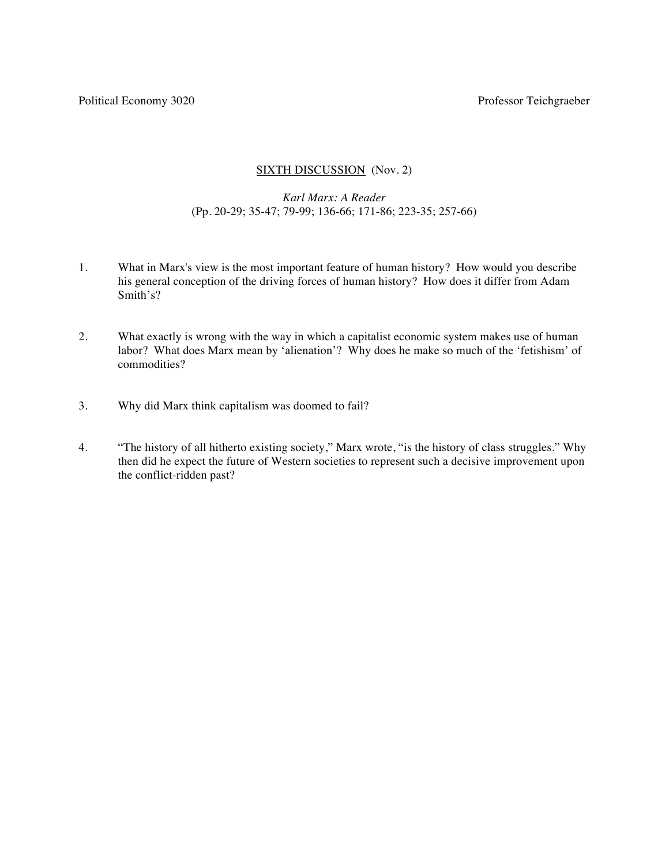Political Economy 3020 **Professor Teichgraeber** Professor Teichgraeber

### SIXTH DISCUSSION (Nov. 2)

### *Karl Marx: A Reader* (Pp. 20-29; 35-47; 79-99; 136-66; 171-86; 223-35; 257-66)

- 1. What in Marx's view is the most important feature of human history? How would you describe his general conception of the driving forces of human history? How does it differ from Adam Smith's?
- 2. What exactly is wrong with the way in which a capitalist economic system makes use of human labor? What does Marx mean by 'alienation'? Why does he make so much of the 'fetishism' of commodities?
- 3. Why did Marx think capitalism was doomed to fail?
- 4. "The history of all hitherto existing society," Marx wrote, "is the history of class struggles." Why then did he expect the future of Western societies to represent such a decisive improvement upon the conflict-ridden past?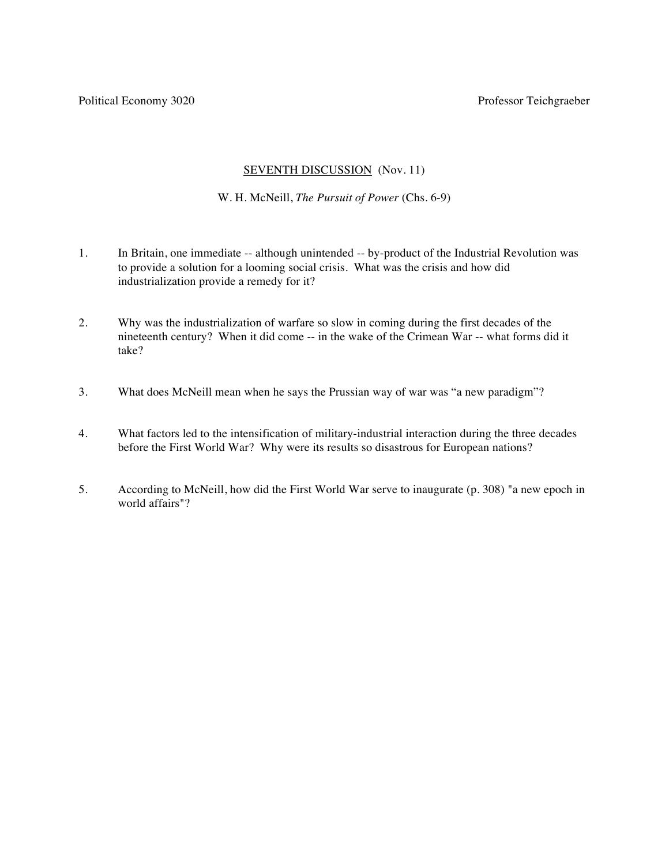Political Economy 3020 **Professor Teichgraeber** Professor Teichgraeber

#### SEVENTH DISCUSSION (Nov. 11)

W. H. McNeill, *The Pursuit of Power* (Chs. 6-9)

- 1. In Britain, one immediate -- although unintended -- by-product of the Industrial Revolution was to provide a solution for a looming social crisis. What was the crisis and how did industrialization provide a remedy for it?
- 2. Why was the industrialization of warfare so slow in coming during the first decades of the nineteenth century? When it did come -- in the wake of the Crimean War -- what forms did it take?
- 3. What does McNeill mean when he says the Prussian way of war was "a new paradigm"?
- 4. What factors led to the intensification of military-industrial interaction during the three decades before the First World War? Why were its results so disastrous for European nations?
- 5. According to McNeill, how did the First World War serve to inaugurate (p. 308) "a new epoch in world affairs"?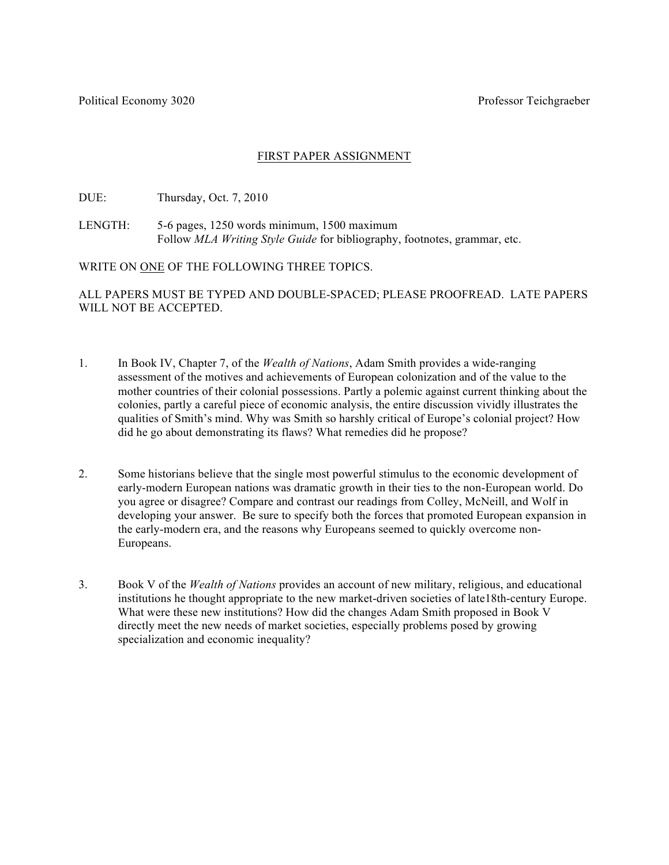# FIRST PAPER ASSIGNMENT

DUE: Thursday, Oct. 7, 2010

LENGTH: 5-6 pages, 1250 words minimum, 1500 maximum Follow *MLA Writing Style Guide* for bibliography, footnotes, grammar, etc.

WRITE ON ONE OF THE FOLLOWING THREE TOPICS.

ALL PAPERS MUST BE TYPED AND DOUBLE-SPACED; PLEASE PROOFREAD. LATE PAPERS WILL NOT BE ACCEPTED.

- 1. In Book IV, Chapter 7, of the *Wealth of Nations*, Adam Smith provides a wide-ranging assessment of the motives and achievements of European colonization and of the value to the mother countries of their colonial possessions. Partly a polemic against current thinking about the colonies, partly a careful piece of economic analysis, the entire discussion vividly illustrates the qualities of Smith's mind. Why was Smith so harshly critical of Europe's colonial project? How did he go about demonstrating its flaws? What remedies did he propose?
- 2. Some historians believe that the single most powerful stimulus to the economic development of early-modern European nations was dramatic growth in their ties to the non-European world. Do you agree or disagree? Compare and contrast our readings from Colley, McNeill, and Wolf in developing your answer. Be sure to specify both the forces that promoted European expansion in the early-modern era, and the reasons why Europeans seemed to quickly overcome non-Europeans.
- 3. Book V of the *Wealth of Nations* provides an account of new military, religious, and educational institutions he thought appropriate to the new market-driven societies of late18th-century Europe. What were these new institutions? How did the changes Adam Smith proposed in Book V directly meet the new needs of market societies, especially problems posed by growing specialization and economic inequality?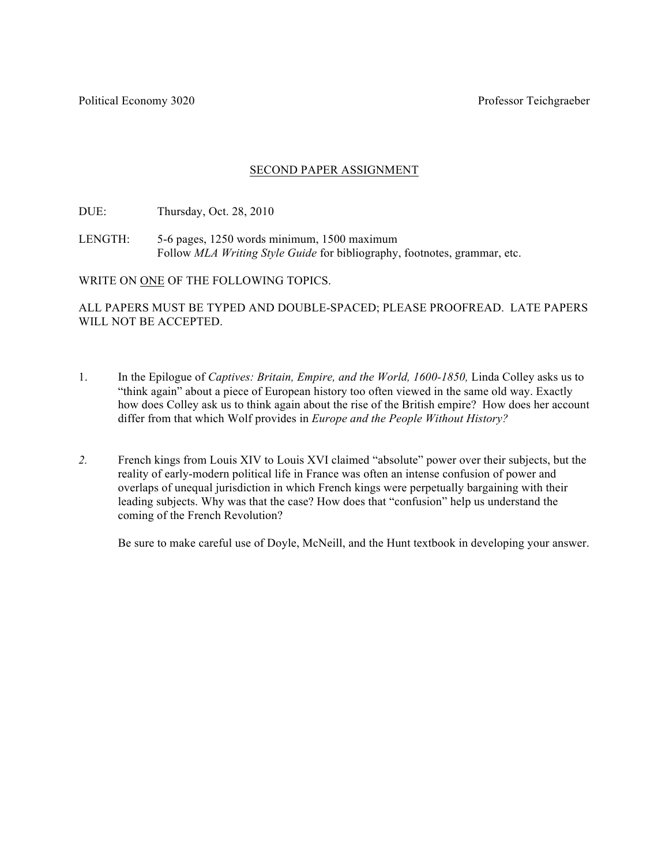# SECOND PAPER ASSIGNMENT

DUE: Thursday, Oct. 28, 2010

LENGTH: 5-6 pages, 1250 words minimum, 1500 maximum Follow *MLA Writing Style Guide* for bibliography, footnotes, grammar, etc.

WRITE ON ONE OF THE FOLLOWING TOPICS.

ALL PAPERS MUST BE TYPED AND DOUBLE-SPACED; PLEASE PROOFREAD. LATE PAPERS WILL NOT BE ACCEPTED.

- 1. In the Epilogue of *Captives: Britain, Empire, and the World, 1600-1850,* Linda Colley asks us to "think again" about a piece of European history too often viewed in the same old way. Exactly how does Colley ask us to think again about the rise of the British empire? How does her account differ from that which Wolf provides in *Europe and the People Without History?*
- *2.* French kings from Louis XIV to Louis XVI claimed "absolute" power over their subjects, but the reality of early-modern political life in France was often an intense confusion of power and overlaps of unequal jurisdiction in which French kings were perpetually bargaining with their leading subjects. Why was that the case? How does that "confusion" help us understand the coming of the French Revolution?

Be sure to make careful use of Doyle, McNeill, and the Hunt textbook in developing your answer.